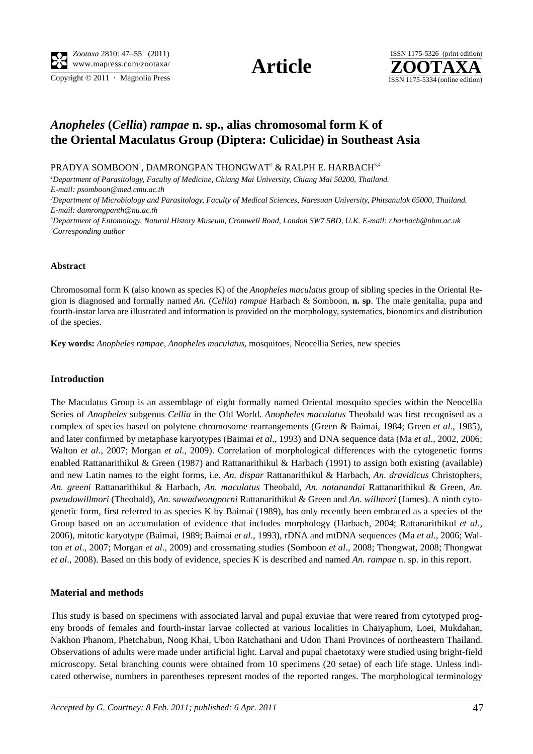Copyright  $\odot$  2011 · Magnolia Press ISSN 1175-5334 (online edition)



# *Anopheles* **(***Cellia***)** *rampae* **n. sp., alias chromosomal form K of the Oriental Maculatus Group (Diptera: Culicidae) in Southeast Asia**

PRADYA SOMBOON', DAMRONGPAN THONGWAT $^{\rm 2}$  & RALPH E. HARBACH $^{\rm 3,4}$ 

*1 Department of Parasitology, Faculty of Medicine, Chiang Mai University, Chiang Mai 50200, Thailand. E-mail: psomboon@med.cmu.ac.th* 

*2 Department of Microbiology and Parasitology, Faculty of Medical Sciences, Naresuan University, Phitsanulok 65000, Thailand. E-mail: damrongpanth@nu.ac.th*

*3 Department of Entomology, Natural History Museum, Cromwell Road, London SW7 5BD, U.K. E-mail: r.harbach@nhm.ac.uk 4 Corresponding author*

### **Abstract**

Chromosomal form K (also known as species K) of the *Anopheles maculatus* group of sibling species in the Oriental Region is diagnosed and formally named *An.* (*Cellia*) *rampae* Harbach & Somboon, **n. sp**. The male genitalia, pupa and fourth-instar larva are illustrated and information is provided on the morphology, systematics, bionomics and distribution of the species.

**Key words:** *Anopheles rampae*, *Anopheles maculatus*, mosquitoes, Neocellia Series, new species

# **Introduction**

The Maculatus Group is an assemblage of eight formally named Oriental mosquito species within the Neocellia Series of *Anopheles* subgenus *Cellia* in the Old World. *Anopheles maculatus* Theobald was first recognised as a complex of species based on polytene chromosome rearrangements (Green & Baimai, 1984; Green *et al*., 1985), and later confirmed by metaphase karyotypes (Baimai *et al*., 1993) and DNA sequence data (Ma *et al*., 2002, 2006; Walton *et al*., 2007; Morgan *et al*., 2009). Correlation of morphological differences with the cytogenetic forms enabled Rattanarithikul & Green (1987) and Rattanarithikul & Harbach (1991) to assign both existing (available) and new Latin names to the eight forms, i.e. *An. dispar* Rattanarithikul & Harbach, *An. dravidicus* Christophers, *An. greeni* Rattanarithikul & Harbach, *An. maculatus* Theobald, *An. notanandai* Rattanarithikul & Green, *An. pseudowillmori* (Theobald), *An. sawadwongporni* Rattanarithikul & Green and *An. willmori* (James). A ninth cytogenetic form, first referred to as species K by Baimai (1989), has only recently been embraced as a species of the Group based on an accumulation of evidence that includes morphology (Harbach, 2004; Rattanarithikul *et al*., 2006), mitotic karyotype (Baimai, 1989; Baimai *et al*., 1993), rDNA and mtDNA sequences (Ma *et al*., 2006; Walton *et al*., 2007; Morgan *et al*., 2009) and crossmating studies (Somboon *et al*., 2008; Thongwat, 2008; Thongwat *et al*., 2008). Based on this body of evidence, species K is described and named *An. rampae* n. sp. in this report.

# **Material and methods**

This study is based on specimens with associated larval and pupal exuviae that were reared from cytotyped progeny broods of females and fourth-instar larvae collected at various localities in Chaiyaphum, Loei, Mukdahan, Nakhon Phanom, Phetchabun, Nong Khai, Ubon Ratchathani and Udon Thani Provinces of northeastern Thailand. Observations of adults were made under artificial light. Larval and pupal chaetotaxy were studied using bright-field microscopy. Setal branching counts were obtained from 10 specimens (20 setae) of each life stage. Unless indicated otherwise, numbers in parentheses represent modes of the reported ranges. The morphological terminology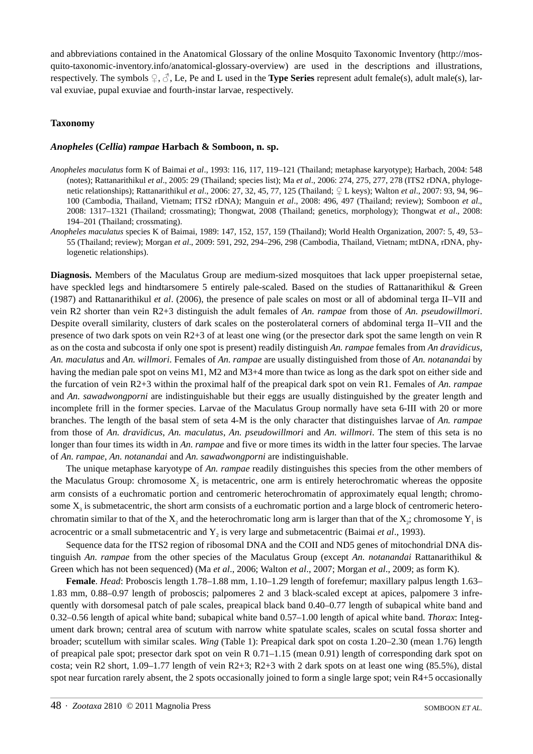and abbreviations contained in the Anatomical Glossary of the online Mosquito Taxonomic Inventory (http://mosquito-taxonomic-inventory.info/anatomical-glossary-overview) are used in the descriptions and illustrations, respectively. The symbols  $\mathcal{Q}, \mathcal{J}$ , Le, Pe and L used in the **Type Series** represent adult female(s), adult male(s), larval exuviae, pupal exuviae and fourth-instar larvae, respectively.

# **Taxonomy**

### *Anopheles* **(***Cellia***)** *rampae* **Harbach & Somboon, n. sp.**

- *Anopheles maculatus* form K of Baimai *et al*., 1993: 116, 117, 119–121 (Thailand; metaphase karyotype); Harbach, 2004: 548 (notes); Rattanarithikul *et al*., 2005: 29 (Thailand; species list); Ma *et al*., 2006: 274, 275, 277, 278 (ITS2 rDNA, phylogenetic relationships); Rattanarithikul *et al*., 2006: 27, 32, 45, 77, 125 (Thailand; ♀ L keys); Walton *et al*., 2007: 93, 94, 96– 100 (Cambodia, Thailand, Vietnam; ITS2 rDNA); Manguin *et al*., 2008: 496, 497 (Thailand; review); Somboon *et al*., 2008: 1317–1321 (Thailand; crossmating); Thongwat, 2008 (Thailand; genetics, morphology); Thongwat *et al*., 2008: 194–201 (Thailand; crossmating).
- *Anopheles maculatus* species K of Baimai, 1989: 147, 152, 157, 159 (Thailand); World Health Organization, 2007: 5, 49, 53– 55 (Thailand; review); Morgan *et al*., 2009: 591, 292, 294–296, 298 (Cambodia, Thailand, Vietnam; mtDNA, rDNA, phylogenetic relationships).

**Diagnosis.** Members of the Maculatus Group are medium-sized mosquitoes that lack upper proepisternal setae, have speckled legs and hindtarsomere 5 entirely pale-scaled. Based on the studies of Rattanarithikul & Green (1987) and Rattanarithikul *et al*. (2006), the presence of pale scales on most or all of abdominal terga II–VII and vein R2 shorter than vein R2+3 distinguish the adult females of *An. rampae* from those of *An. pseudowillmori*. Despite overall similarity, clusters of dark scales on the posterolateral corners of abdominal terga II–VII and the presence of two dark spots on vein R2+3 of at least one wing (or the presector dark spot the same length on vein R as on the costa and subcosta if only one spot is present) readily distinguish *An. rampae* females from *An dravidicus*, *An. maculatus* and *An. willmori*. Females of *An. rampae* are usually distinguished from those of *An. notanandai* by having the median pale spot on veins M1, M2 and M3+4 more than twice as long as the dark spot on either side and the furcation of vein R2+3 within the proximal half of the preapical dark spot on vein R1. Females of *An. rampae* and *An. sawadwongporni* are indistinguishable but their eggs are usually distinguished by the greater length and incomplete frill in the former species. Larvae of the Maculatus Group normally have seta 6-III with 20 or more branches. The length of the basal stem of seta 4-M is the only character that distinguishes larvae of *An. rampae* from those of *An. dravidicus*, *An. maculatus*, *An. pseudowillmori* and *An. willmori*. The stem of this seta is no longer than four times its width in *An. rampae* and five or more times its width in the latter four species. The larvae of *An. rampae*, *An. notanandai* and *An. sawadwongporni* are indistinguishable.

The unique metaphase karyotype of *An. rampae* readily distinguishes this species from the other members of the Maculatus Group: chromosome  $X_2$  is metacentric, one arm is entirely heterochromatic whereas the opposite arm consists of a euchromatic portion and centromeric heterochromatin of approximately equal length; chromosome  $X<sub>3</sub>$  is submetacentric, the short arm consists of a euchromatic portion and a large block of centromeric heterochromatin similar to that of the  $X_2$  and the heterochromatic long arm is larger than that of the  $X_2$ ; chromosome  $Y_1$  is acrocentric or a small submetacentric and Y<sub>2</sub> is very large and submetacentric (Baimai *et al.*, 1993).

Sequence data for the ITS2 region of ribosomal DNA and the COII and ND5 genes of mitochondrial DNA distinguish *An. rampae* from the other species of the Maculatus Group (except *An. notanandai* Rattanarithikul & Green which has not been sequenced) (Ma *et al*., 2006; Walton *et al*., 2007; Morgan *et al*., 2009; as form K).

**Female**. *Head*: Proboscis length 1.78–1.88 mm, 1.10–1.29 length of forefemur; maxillary palpus length 1.63– 1.83 mm, 0.88–0.97 length of proboscis; palpomeres 2 and 3 black-scaled except at apices, palpomere 3 infrequently with dorsomesal patch of pale scales, preapical black band 0.40–0.77 length of subapical white band and 0.32–0.56 length of apical white band; subapical white band 0.57–1.00 length of apical white band. *Thorax*: Integument dark brown; central area of scutum with narrow white spatulate scales, scales on scutal fossa shorter and broader; scutellum with similar scales. *Wing* (Table 1): Preapical dark spot on costa 1.20–2.30 (mean 1.76) length of preapical pale spot; presector dark spot on vein R  $0.71-1.15$  (mean 0.91) length of corresponding dark spot on costa; vein R2 short, 1.09–1.77 length of vein R2+3; R2+3 with 2 dark spots on at least one wing (85.5%), distal spot near furcation rarely absent, the 2 spots occasionally joined to form a single large spot; vein R4+5 occasionally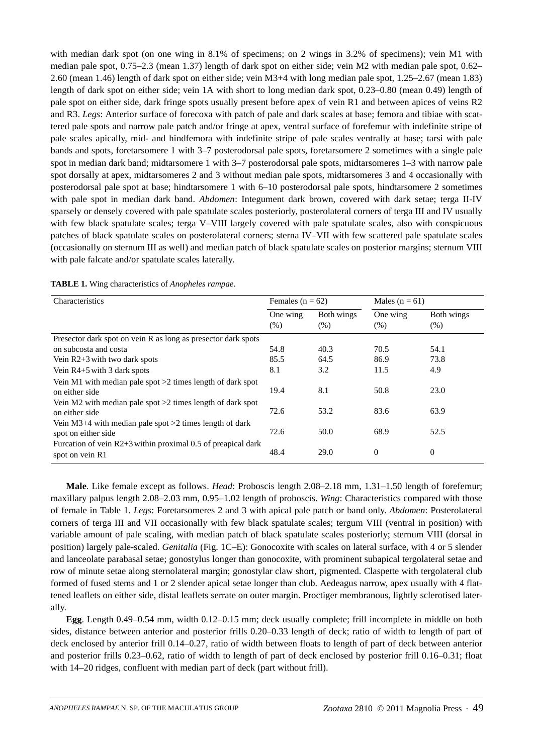with median dark spot (on one wing in 8.1% of specimens; on 2 wings in 3.2% of specimens); vein M1 with median pale spot, 0.75–2.3 (mean 1.37) length of dark spot on either side; vein M2 with median pale spot, 0.62– 2.60 (mean 1.46) length of dark spot on either side; vein M3+4 with long median pale spot, 1.25–2.67 (mean 1.83) length of dark spot on either side; vein 1A with short to long median dark spot, 0.23–0.80 (mean 0.49) length of pale spot on either side, dark fringe spots usually present before apex of vein R1 and between apices of veins R2 and R3. *Legs*: Anterior surface of forecoxa with patch of pale and dark scales at base; femora and tibiae with scattered pale spots and narrow pale patch and/or fringe at apex, ventral surface of forefemur with indefinite stripe of pale scales apically, mid- and hindfemora with indefinite stripe of pale scales ventrally at base; tarsi with pale bands and spots, foretarsomere 1 with 3–7 posterodorsal pale spots, foretarsomere 2 sometimes with a single pale spot in median dark band; midtarsomere 1 with 3–7 posterodorsal pale spots, midtarsomeres 1–3 with narrow pale spot dorsally at apex, midtarsomeres 2 and 3 without median pale spots, midtarsomeres 3 and 4 occasionally with posterodorsal pale spot at base; hindtarsomere 1 with 6–10 posterodorsal pale spots, hindtarsomere 2 sometimes with pale spot in median dark band. *Abdomen*: Integument dark brown, covered with dark setae; terga II-IV sparsely or densely covered with pale spatulate scales posteriorly, posterolateral corners of terga III and IV usually with few black spatulate scales; terga V–VIII largely covered with pale spatulate scales, also with conspicuous patches of black spatulate scales on posterolateral corners; sterna IV–VII with few scattered pale spatulate scales (occasionally on sternum III as well) and median patch of black spatulate scales on posterior margins; sternum VIII with pale falcate and/or spatulate scales laterally.

| Characteristics                                                                   | Females ( $n = 62$ ) |                    | Males ( $n = 61$ ) |                    |  |
|-----------------------------------------------------------------------------------|----------------------|--------------------|--------------------|--------------------|--|
|                                                                                   | One wing<br>(% )     | Both wings<br>(% ) | One wing<br>(% )   | Both wings<br>(% ) |  |
| Presector dark spot on vein R as long as presector dark spots                     |                      |                    |                    |                    |  |
| on subcosta and costa                                                             | 54.8                 | 40.3               | 70.5               | 54.1               |  |
| Vein $R2+3$ with two dark spots                                                   | 85.5                 | 64.5               | 86.9               | 73.8               |  |
| Vein $R4+5$ with 3 dark spots                                                     | 8.1                  | 3.2                | 11.5               | 4.9                |  |
| Vein M1 with median pale spot $>2$ times length of dark spot<br>on either side    | 19.4                 | 8.1                | 50.8               | 23.0               |  |
| Vein M2 with median pale spot $>2$ times length of dark spot<br>on either side    | 72.6                 | 53.2               | 83.6               | 63.9               |  |
| Vein M3+4 with median pale spot $>2$ times length of dark<br>spot on either side  | 72.6                 | 50.0               | 68.9               | 52.5               |  |
| Furcation of vein $R2+3$ within proximal 0.5 of preapical dark<br>spot on vein R1 | 48.4                 | 29.0               | $\boldsymbol{0}$   | $\theta$           |  |

**TABLE 1.** Wing characteristics of *Anopheles rampae*.

**Male**. Like female except as follows. *Head*: Proboscis length 2.08–2.18 mm, 1.31–1.50 length of forefemur; maxillary palpus length 2.08–2.03 mm, 0.95–1.02 length of proboscis. *Wing*: Characteristics compared with those of female in Table 1. *Legs*: Foretarsomeres 2 and 3 with apical pale patch or band only. *Abdomen*: Posterolateral corners of terga III and VII occasionally with few black spatulate scales; tergum VIII (ventral in position) with variable amount of pale scaling, with median patch of black spatulate scales posteriorly; sternum VIII (dorsal in position) largely pale-scaled. *Genitalia* (Fig. 1C–E): Gonocoxite with scales on lateral surface, with 4 or 5 slender and lanceolate parabasal setae; gonostylus longer than gonocoxite, with prominent subapical tergolateral setae and row of minute setae along sternolateral margin; gonostylar claw short, pigmented. Claspette with tergolateral club formed of fused stems and 1 or 2 slender apical setae longer than club. Aedeagus narrow, apex usually with 4 flattened leaflets on either side, distal leaflets serrate on outer margin. Proctiger membranous, lightly sclerotised laterally.

**Egg**. Length 0.49–0.54 mm, width 0.12–0.15 mm; deck usually complete; frill incomplete in middle on both sides, distance between anterior and posterior frills 0.20–0.33 length of deck; ratio of width to length of part of deck enclosed by anterior frill 0.14–0.27, ratio of width between floats to length of part of deck between anterior and posterior frills 0.23–0.62, ratio of width to length of part of deck enclosed by posterior frill 0.16–0.31; float with 14–20 ridges, confluent with median part of deck (part without frill).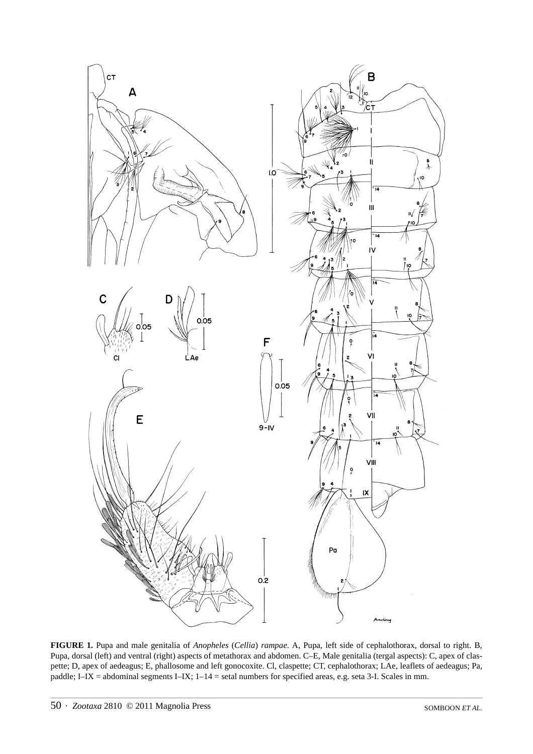

**FIGURE 1.** Pupa and male genitalia of *Anopheles* (*Cellia*) *rampae*. A, Pupa, left side of cephalothorax, dorsal to right. B, Pupa, dorsal (left) and ventral (right) aspects of metathorax and abdomen. C–E, Male genitalia (tergal aspects): C, apex of claspette; D, apex of aedeagus; E, phallosome and left gonocoxite. Cl, claspette; CT, cephalothorax; LAe, leaflets of aedeagus; Pa, paddle; I–IX = abdominal segments I–IX; 1–14 = setal numbers for specified areas, e.g. seta 3-I. Scales in mm.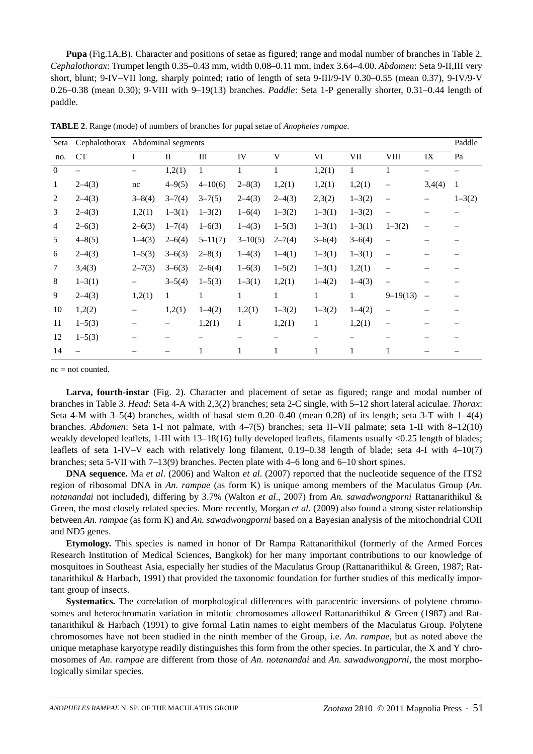**Pupa** (Fig.1A,B). Character and positions of setae as figured; range and modal number of branches in Table 2. *Cephalothorax*: Trumpet length 0.35–0.43 mm, width 0.08–0.11 mm, index 3.64–4.00. *Abdomen*: Seta 9-II,III very short, blunt; 9-IV–VII long, sharply pointed; ratio of length of seta 9-III/9-IV 0.30–0.55 (mean 0.37), 9-IV/9-V 0.26–0.38 (mean 0.30); 9-VIII with 9–19(13) branches. *Paddle*: Seta 1-P generally shorter, 0.31–0.44 length of paddle.

| Seta           |            | Cephalothorax Abdominal segments |              |             |             |            |            | Paddle       |                          |                          |              |
|----------------|------------|----------------------------------|--------------|-------------|-------------|------------|------------|--------------|--------------------------|--------------------------|--------------|
| no.            | <b>CT</b>  | I                                | $\mathbf{I}$ | III         | IV          | V          | VI         | VII          | VIII                     | IX                       | Pa           |
| $\mathbf{0}$   |            |                                  | 1,2(1)       | 1           |             | 1          | 1,2(1)     | $\mathbf{1}$ | 1                        |                          |              |
| $\mathbf{1}$   | $2-4(3)$   | nc                               | $4 - 9(5)$   | $4 - 10(6)$ | $2 - 8(3)$  | 1,2(1)     | 1,2(1)     | 1,2(1)       | $\overline{\phantom{0}}$ | 3,4(4)                   | $\mathbf{1}$ |
| $\overline{2}$ | $2-4(3)$   | $3 - 8(4)$                       | $3 - 7(4)$   | $3 - 7(5)$  | $2-4(3)$    | $2-4(3)$   | 2,3(2)     | $1 - 3(2)$   | $\qquad \qquad -$        |                          | $1 - 3(2)$   |
| 3              | $2-4(3)$   | 1,2(1)                           | $1 - 3(1)$   | $1 - 3(2)$  | $1 - 6(4)$  | $1 - 3(2)$ | $1 - 3(1)$ | $1 - 3(2)$   | $\equiv$                 |                          |              |
| 4              | $2 - 6(3)$ | $2 - 6(3)$                       | $1 - 7(4)$   | $1 - 6(3)$  | $1-4(3)$    | $1 - 5(3)$ | $1 - 3(1)$ | $1 - 3(1)$   | $1 - 3(2)$               |                          |              |
| 5              | $4 - 8(5)$ | $1-4(3)$                         | $2 - 6(4)$   | $5 - 11(7)$ | $3 - 10(5)$ | $2 - 7(4)$ | $3 - 6(4)$ | $3 - 6(4)$   | $\qquad \qquad -$        |                          |              |
| 6              | $2-4(3)$   | $1 - 5(3)$                       | $3 - 6(3)$   | $2 - 8(3)$  | $1-4(3)$    | $1-4(1)$   | $1 - 3(1)$ | $1 - 3(1)$   | $\qquad \qquad -$        |                          |              |
| 7              | 3,4(3)     | $2 - 7(3)$                       | $3 - 6(3)$   | $2 - 6(4)$  | $1 - 6(3)$  | $1 - 5(2)$ | $1 - 3(1)$ | 1,2(1)       | $\overline{\phantom{0}}$ |                          |              |
| 8              | $1 - 3(1)$ | —                                | $3 - 5(4)$   | $1 - 5(3)$  | $1 - 3(1)$  | 1,2(1)     | $1-4(2)$   | $1-4(3)$     | $\overline{\phantom{0}}$ |                          |              |
| 9              | $2-4(3)$   | 1,2(1)                           | 1            | 1           | 1           | 1          | 1          | 1            | $9 - 19(13)$             | $\overline{\phantom{0}}$ |              |
| 10             | 1,2(2)     |                                  | 1,2(1)       | $1-4(2)$    | 1,2(1)      | $1 - 3(2)$ | $1 - 3(2)$ | $1-4(2)$     | $\overline{\phantom{0}}$ |                          |              |
| 11             | $1 - 5(3)$ |                                  |              | 1,2(1)      | 1           | 1,2(1)     | 1          | 1,2(1)       | $\overline{\phantom{0}}$ |                          |              |
| 12             | $1 - 5(3)$ |                                  |              |             |             |            |            |              |                          |                          |              |
| 14             |            |                                  |              | 1           | 1           | 1          | 1          | 1            | 1                        |                          |              |

**TABLE 2**. Range (mode) of numbers of branches for pupal setae of *Anopheles rampae*.

 $nc = not counted$ .

**Larva, fourth-instar** (Fig. 2). Character and placement of setae as figured; range and modal number of branches in Table 3. *Head*: Seta 4-A with 2,3(2) branches; seta 2-C single, with 5–12 short lateral aciculae. *Thorax*: Seta 4-M with 3–5(4) branches, width of basal stem 0.20–0.40 (mean 0.28) of its length; seta 3-T with 1–4(4) branches. *Abdomen*: Seta 1-I not palmate, with 4–7(5) branches; seta II–VII palmate; seta 1-II with 8–12(10) weakly developed leaflets, 1-III with 13–18(16) fully developed leaflets, filaments usually <0.25 length of blades; leaflets of seta 1-IV–V each with relatively long filament, 0.19–0.38 length of blade; seta 4-I with 4–10(7) branches; seta 5-VII with 7–13(9) branches. Pecten plate with 4–6 long and 6–10 short spines.

**DNA sequence.** Ma *et al*. (2006) and Walton *et al*. (2007) reported that the nucleotide sequence of the ITS2 region of ribosomal DNA in *An. rampae* (as form K) is unique among members of the Maculatus Group (*An. notanandai* not included), differing by 3.7% (Walton *et al*., 2007) from *An. sawadwongporni* Rattanarithikul & Green, the most closely related species. More recently, Morgan *et al*. (2009) also found a strong sister relationship between *An. rampae* (as form K) and *An. sawadwongporni* based on a Bayesian analysis of the mitochondrial COII and ND5 genes.

**Etymology.** This species is named in honor of Dr Rampa Rattanarithikul (formerly of the Armed Forces Research Institution of Medical Sciences, Bangkok) for her many important contributions to our knowledge of mosquitoes in Southeast Asia, especially her studies of the Maculatus Group (Rattanarithikul & Green, 1987; Rattanarithikul & Harbach, 1991) that provided the taxonomic foundation for further studies of this medically important group of insects.

**Systematics.** The correlation of morphological differences with paracentric inversions of polytene chromosomes and heterochromatin variation in mitotic chromosomes allowed Rattanarithikul & Green (1987) and Rattanarithikul & Harbach (1991) to give formal Latin names to eight members of the Maculatus Group. Polytene chromosomes have not been studied in the ninth member of the Group, i.e. *An. rampae*, but as noted above the unique metaphase karyotype readily distinguishes this form from the other species. In particular, the X and Y chromosomes of *An. rampae* are different from those of *An. notanandai* and *An. sawadwongporni*, the most morphologically similar species.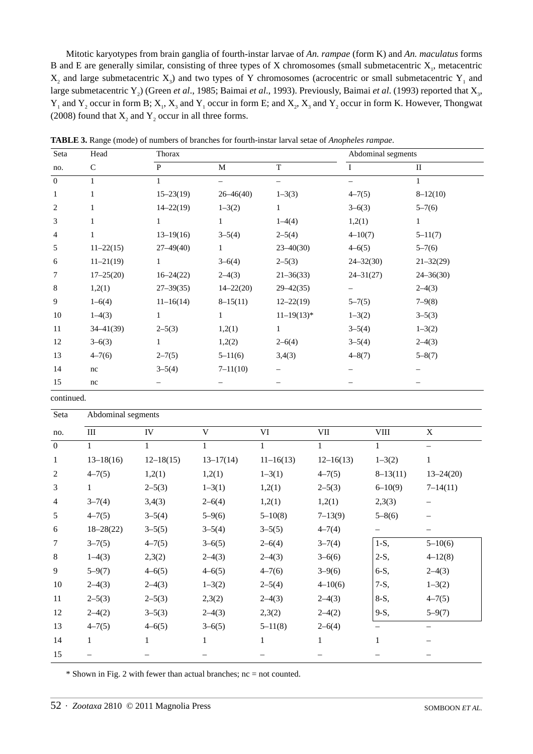Mitotic karyotypes from brain ganglia of fourth-instar larvae of *An. rampae* (form K) and *An. maculatus* forms B and E are generally similar, consisting of three types of X chromosomes (small submetacentric  $X_1$ , metacentric  $X_2$  and large submetacentric  $X_3$ ) and two types of Y chromosomes (acrocentric or small submetacentric Y<sub>1</sub> and large submetacentric Y<sub>2</sub>) (Green *et al.*, 1985; Baimai *et al.*, 1993). Previously, Baimai *et al.* (1993) reported that X<sub>3</sub>,  $Y_1$  and  $Y_2$  occur in form B;  $X_1, X_3$  and  $Y_1$  occur in form E; and  $X_2, X_3$  and  $Y_2$  occur in form K. However, Thongwat (2008) found that  $X_2$  and  $Y_2$  occur in all three forms.

| Seta           | Head          | Thorax        |               |                                | Abdominal segments |               |
|----------------|---------------|---------------|---------------|--------------------------------|--------------------|---------------|
| no.            | $\mathsf{C}$  | P             | M             | T                              | I                  | $\rm II$      |
| $\mathbf{0}$   | 1             | 1             | -             | $\qquad \qquad \longleftarrow$ |                    | 1             |
| $\mathbf{1}$   |               | $15 - 23(19)$ | $26 - 46(40)$ | $1 - 3(3)$                     | $4 - 7(5)$         | $8-12(10)$    |
| $\overline{c}$ |               | $14 - 22(19)$ | $1 - 3(2)$    | 1                              | $3-6(3)$           | $5 - 7(6)$    |
| 3              |               | $\mathbf{1}$  | $\mathbf{1}$  | $1-4(4)$                       | 1,2(1)             | 1             |
| $\overline{4}$ | 1             | $13 - 19(16)$ | $3 - 5(4)$    | $2 - 5(4)$                     | $4 - 10(7)$        | $5 - 11(7)$   |
| 5              | $11 - 22(15)$ | $27 - 49(40)$ | $\mathbf{1}$  | $23 - 40(30)$                  | $4 - 6(5)$         | $5 - 7(6)$    |
| 6              | $11 - 21(19)$ | 1             | $3 - 6(4)$    | $2 - 5(3)$                     | $24 - 32(30)$      | $21 - 32(29)$ |
| 7              | $17 - 25(20)$ | $16 - 24(22)$ | $2-4(3)$      | $21 - 36(33)$                  | $24 - 31(27)$      | $24 - 36(30)$ |
| 8              | 1,2(1)        | $27 - 39(35)$ | $14 - 22(20)$ | $29 - 42(35)$                  |                    | $2-4(3)$      |
| 9              | $1 - 6(4)$    | $11-16(14)$   | $8-15(11)$    | $12 - 22(19)$                  | $5 - 7(5)$         | $7 - 9(8)$    |
| 10             | $1-4(3)$      | $\mathbf{1}$  | $\mathbf{1}$  | $11-19(13)*$                   | $1 - 3(2)$         | $3 - 5(3)$    |
| 11             | $34 - 41(39)$ | $2 - 5(3)$    | 1,2(1)        | $\mathbf{1}$                   | $3 - 5(4)$         | $1 - 3(2)$    |
| 12             | $3-6(3)$      | 1             | 1,2(2)        | $2 - 6(4)$                     | $3 - 5(4)$         | $2-4(3)$      |
| 13             | $4 - 7(6)$    | $2 - 7(5)$    | $5 - 11(6)$   | 3,4(3)                         | $4 - 8(7)$         | $5 - 8(7)$    |
| 14             | nc            | $3 - 5(4)$    | $7 - 11(10)$  |                                |                    |               |
| 15             | nc            |               |               |                                |                    |               |

**TABLE 3.** Range (mode) of numbers of branches for fourth-instar larval setae of *Anopheles rampae*.

continued.

| Seta           | Abdominal segments |               |               |              |               |              |                          |  |
|----------------|--------------------|---------------|---------------|--------------|---------------|--------------|--------------------------|--|
| no.            | Ш                  | IV            | V             | VI           | $\rm{VII}$    | ${\rm VIII}$ | $\mathbf X$              |  |
| $\mathbf{0}$   | $\mathbf{1}$       | 1             | 1             | 1            | 1             | 1            | $\overline{\phantom{0}}$ |  |
| 1              | $13-18(16)$        | $12 - 18(15)$ | $13 - 17(14)$ | $11-16(13)$  | $12 - 16(13)$ | $1 - 3(2)$   | $\mathbf{1}$             |  |
| $\overline{2}$ | $4 - 7(5)$         | 1,2(1)        | 1,2(1)        | $1 - 3(1)$   | $4 - 7(5)$    | $8-13(11)$   | $13 - 24(20)$            |  |
| 3              | 1                  | $2 - 5(3)$    | $1 - 3(1)$    | 1,2(1)       | $2 - 5(3)$    | $6 - 10(9)$  | $7 - 14(11)$             |  |
| $\overline{4}$ | $3 - 7(4)$         | 3,4(3)        | $2 - 6(4)$    | 1,2(1)       | 1,2(1)        | 2,3(3)       | $\qquad \qquad -$        |  |
| 5              | $4 - 7(5)$         | $3 - 5(4)$    | $5-9(6)$      | $5 - 10(8)$  | $7 - 13(9)$   | $5 - 8(6)$   |                          |  |
| 6              | $18 - 28(22)$      | $3 - 5(5)$    | $3 - 5(4)$    | $3 - 5(5)$   | $4 - 7(4)$    |              | —                        |  |
| 7              | $3 - 7(5)$         | $4 - 7(5)$    | $3 - 6(5)$    | $2 - 6(4)$   | $3 - 7(4)$    | $1-S$ ,      | $5 - 10(6)$              |  |
| $\,8\,$        | $1-4(3)$           | 2,3(2)        | $2-4(3)$      | $2-4(3)$     | $3 - 6(6)$    | $2-S$ ,      | $4 - 12(8)$              |  |
| 9              | $5 - 9(7)$         | $4 - 6(5)$    | $4 - 6(5)$    | $4 - 7(6)$   | $3-9(6)$      | 6-S,         | $2-4(3)$                 |  |
| 10             | $2-4(3)$           | $2-4(3)$      | $1 - 3(2)$    | $2 - 5(4)$   | $4 - 10(6)$   | $7-S$ ,      | $1 - 3(2)$               |  |
| 11             | $2 - 5(3)$         | $2 - 5(3)$    | 2,3(2)        | $2-4(3)$     | $2-4(3)$      | $8-S$ ,      | $4 - 7(5)$               |  |
| 12             | $2-4(2)$           | $3 - 5(3)$    | $2-4(3)$      | 2,3(2)       | $2-4(2)$      | $9-S$ ,      | $5 - 9(7)$               |  |
| 13             | $4 - 7(5)$         | $4 - 6(5)$    | $3 - 6(5)$    | $5 - 11(8)$  | $2 - 6(4)$    |              | $\overline{\phantom{0}}$ |  |
| 14             | 1                  | 1             | 1             | $\mathbf{1}$ | 1             | 1            |                          |  |
| 15             |                    |               |               |              |               |              |                          |  |

 $*$  Shown in Fig. 2 with fewer than actual branches; nc = not counted.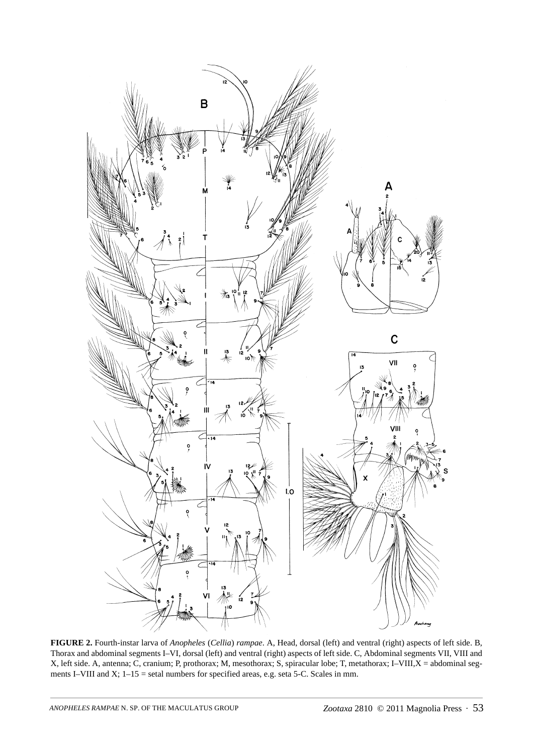

**FIGURE 2.** Fourth-instar larva of *Anopheles* (*Cellia*) *rampae*. A, Head, dorsal (left) and ventral (right) aspects of left side. B, Thorax and abdominal segments I–VI, dorsal (left) and ventral (right) aspects of left side. C, Abdominal segments VII, VIII and X, left side. A, antenna; C, cranium; P, prothorax; M, mesothorax; S, spiracular lobe; T, metathorax; I–VIII,X = abdominal segments I–VIII and X;  $1-15$  = setal numbers for specified areas, e.g. seta 5-C. Scales in mm.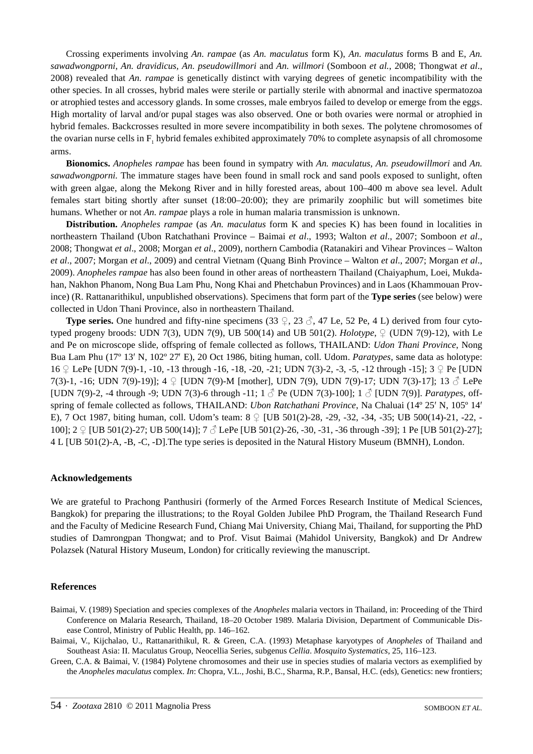Crossing experiments involving *An. rampae* (as *An. maculatus* form K), *An. maculatus* forms B and E, *An. sawadwongporni*, *An. dravidicus, An. pseudowillmori* and *An. willmori* (Somboon *et al.*, 2008; Thongwat *et al*., 2008) revealed that *An. rampae* is genetically distinct with varying degrees of genetic incompatibility with the other species. In all crosses, hybrid males were sterile or partially sterile with abnormal and inactive spermatozoa or atrophied testes and accessory glands. In some crosses, male embryos failed to develop or emerge from the eggs. High mortality of larval and/or pupal stages was also observed. One or both ovaries were normal or atrophied in hybrid females. Backcrosses resulted in more severe incompatibility in both sexes. The polytene chromosomes of the ovarian nurse cells in  $F_1$  hybrid females exhibited approximately 70% to complete asynapsis of all chromosome arms.

**Bionomics.** *Anopheles rampae* has been found in sympatry with *An. maculatus, An. pseudowillmori* and *An. sawadwongporni.* The immature stages have been found in small rock and sand pools exposed to sunlight, often with green algae, along the Mekong River and in hilly forested areas, about 100–400 m above sea level. Adult females start biting shortly after sunset (18:00–20:00); they are primarily zoophilic but will sometimes bite humans. Whether or not *An. rampae* plays a role in human malaria transmission is unknown.

**Distribution.** *Anopheles rampae* (as *An. maculatus* form K and species K) has been found in localities in northeastern Thailand (Ubon Ratchathani Province – Baimai *et al*., 1993; Walton *et al*., 2007; Somboon *et al*., 2008; Thongwat *et al*., 2008; Morgan *et al*., 2009), northern Cambodia (Ratanakiri and Vihear Provinces – Walton *et al*., 2007; Morgan *et al*., 2009) and central Vietnam (Quang Binh Province – Walton *et al*., 2007; Morgan *et al*., 2009). *Anopheles rampae* has also been found in other areas of northeastern Thailand (Chaiyaphum, Loei, Mukdahan, Nakhon Phanom, Nong Bua Lam Phu, Nong Khai and Phetchabun Provinces) and in Laos (Khammouan Province) (R. Rattanarithikul, unpublished observations). Specimens that form part of the **Type series** (see below) were collected in Udon Thani Province, also in northeastern Thailand.

**Type series.** One hundred and fifty-nine specimens (33  $\subsetneq$ , 23  $\circledcirc$ , 47 Le, 52 Pe, 4 L) derived from four cytotyped progeny broods: UDN 7(3), UDN 7(9), UB 500(14) and UB 501(2). *Holotype*, ♀ (UDN 7(9)-12), with Le and Pe on microscope slide, offspring of female collected as follows, THAILAND: *Udon Thani Province*, Nong Bua Lam Phu (17º 13′ N, 102º 27′ E), 20 Oct 1986, biting human, coll. Udom. *Paratypes*, same data as holotype: <sup>16</sup>♀ LePe [UDN 7(9)-1, -10, -13 through -16, -18, -20, -21; UDN 7(3)-2, -3, -5, -12 through -15]; 3 ♀ Pe [UDN 7(3)-1, -16; UDN 7(9)-19)];  $4 \nsubseteq$  [UDN 7(9)-M [mother], UDN 7(9), UDN 7(9)-17; UDN 7(3)-17]; 13  $\circ$  LePe [UDN 7(9)-2, -4 through -9; UDN 7(3)-6 through -11; 1 ♂ Pe (UDN 7(3)-100]; 1 ♂ [UDN 7(9)]. *Paratypes*, offspring of female collected as follows, THAILAND: *Ubon Ratchathani Province*, Na Chaluai (14º 25′ N, 105º 14′ E), 7 Oct 1987, biting human, coll. Udom's team: 8 ♀ [UB 501(2)-28, -29, -32, -34, -35; UB 500(14)-21, -22, - 100]; 2 ♀ [UB 501(2)-27; UB 500(14)]; 7 ♂ LePe [UB 501(2)-26, -30, -31, -36 through -39]; 1 Pe [UB 501(2)-27]; 4 L [UB 501(2)-A, -B, -C, -D].The type series is deposited in the Natural History Museum (BMNH), London.

### **Acknowledgements**

We are grateful to Prachong Panthusiri (formerly of the Armed Forces Research Institute of Medical Sciences, Bangkok) for preparing the illustrations; to the Royal Golden Jubilee PhD Program, the Thailand Research Fund and the Faculty of Medicine Research Fund, Chiang Mai University, Chiang Mai, Thailand, for supporting the PhD studies of Damrongpan Thongwat; and to Prof. Visut Baimai (Mahidol University, Bangkok) and Dr Andrew Polazsek (Natural History Museum, London) for critically reviewing the manuscript.

#### **References**

- Baimai, V. (1989) Speciation and species complexes of the *Anopheles* malaria vectors in Thailand, in: Proceeding of the Third Conference on Malaria Research, Thailand, 18–20 October 1989. Malaria Division, Department of Communicable Disease Control, Ministry of Public Health, pp. 146–162.
- Baimai, V., Kijchalao, U., Rattanarithikul, R. & Green, C.A. (1993) Metaphase karyotypes of *Anopheles* of Thailand and Southeast Asia: II. Maculatus Group, Neocellia Series, subgenus *Cellia*. *Mosquito Systematics*, 25, 116–123.

Green, C.A. & Baimai, V. (1984) Polytene chromosomes and their use in species studies of malaria vectors as exemplified by the *Anopheles maculatus* complex. *In*: Chopra, V.L., Joshi, B.C., Sharma, R.P., Bansal, H.C. (eds), Genetics: new frontiers;